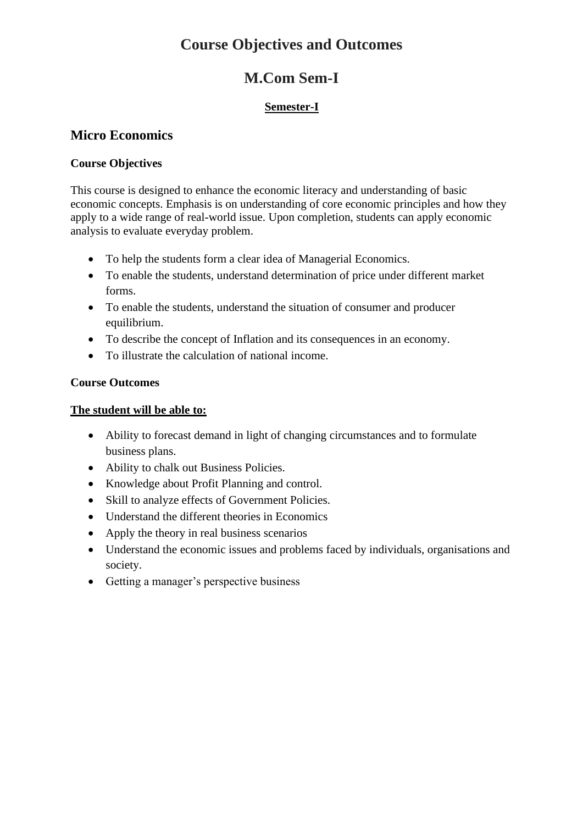# **Course Objectives and Outcomes**

# **M.Com Sem-I**

#### **Semester-I**

### **Micro Economics**

#### **Course Objectives**

This course is designed to enhance the economic literacy and understanding of basic economic concepts. Emphasis is on understanding of core economic principles and how they apply to a wide range of real-world issue. Upon completion, students can apply economic analysis to evaluate everyday problem.

- To help the students form a clear idea of Managerial Economics.
- To enable the students, understand determination of price under different market forms.
- To enable the students, understand the situation of consumer and producer equilibrium.
- To describe the concept of Inflation and its consequences in an economy.
- To illustrate the calculation of national income.

#### **Course Outcomes**

- Ability to forecast demand in light of changing circumstances and to formulate business plans.
- Ability to chalk out Business Policies.
- Knowledge about Profit Planning and control.
- Skill to analyze effects of Government Policies.
- Understand the different theories in Economics
- Apply the theory in real business scenarios
- Understand the economic issues and problems faced by individuals, organisations and society.
- Getting a manager's perspective business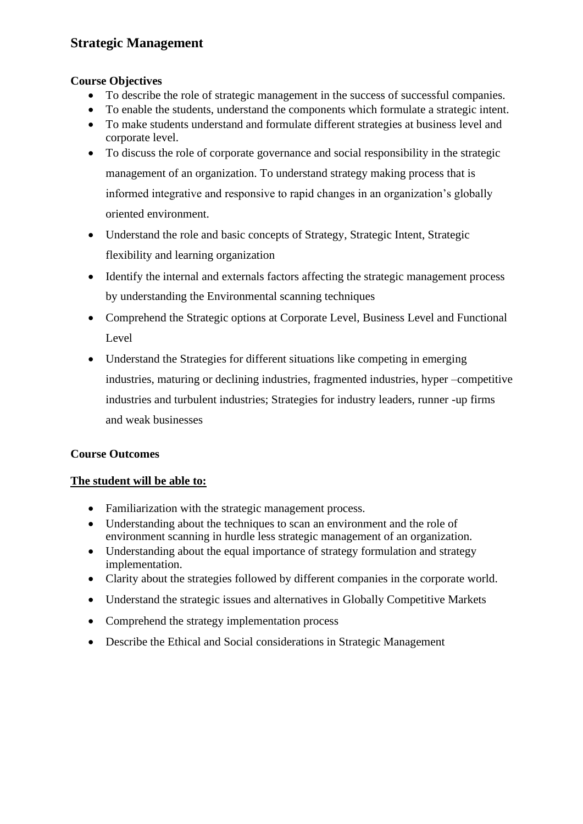### **Strategic Management**

#### **Course Objectives**

- To describe the role of strategic management in the success of successful companies.
- To enable the students, understand the components which formulate a strategic intent.
- To make students understand and formulate different strategies at business level and corporate level.
- To discuss the role of corporate governance and social responsibility in the strategic management of an organization. To understand strategy making process that is informed integrative and responsive to rapid changes in an organization's globally oriented environment.
- Understand the role and basic concepts of Strategy, Strategic Intent, Strategic flexibility and learning organization
- Identify the internal and externals factors affecting the strategic management process by understanding the Environmental scanning techniques
- Comprehend the Strategic options at Corporate Level, Business Level and Functional Level
- Understand the Strategies for different situations like competing in emerging industries, maturing or declining industries, fragmented industries, hyper –competitive industries and turbulent industries; Strategies for industry leaders, runner -up firms and weak businesses

#### **Course Outcomes**

- Familiarization with the strategic management process.
- Understanding about the techniques to scan an environment and the role of environment scanning in hurdle less strategic management of an organization.
- Understanding about the equal importance of strategy formulation and strategy implementation.
- Clarity about the strategies followed by different companies in the corporate world.
- Understand the strategic issues and alternatives in Globally Competitive Markets
- Comprehend the strategy implementation process
- Describe the Ethical and Social considerations in Strategic Management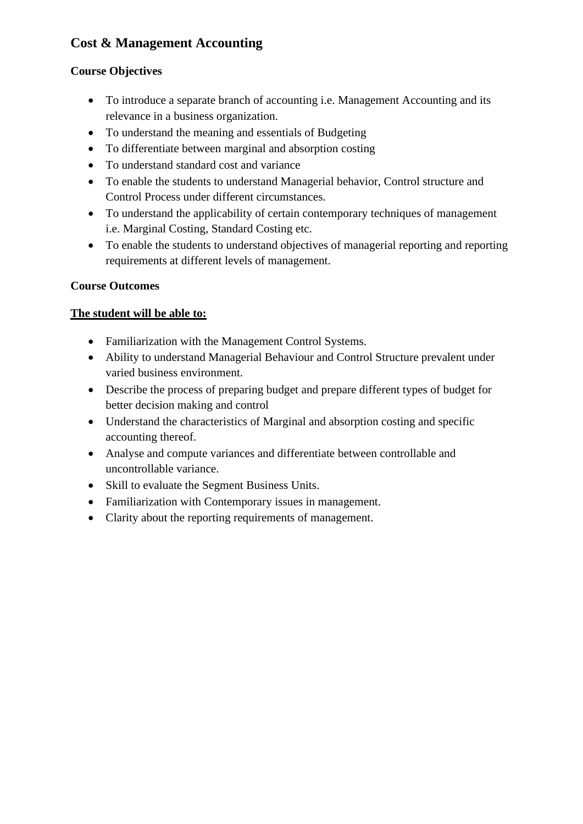## **Cost & Management Accounting**

#### **Course Objectives**

- To introduce a separate branch of accounting i.e. Management Accounting and its relevance in a business organization.
- To understand the meaning and essentials of Budgeting
- To differentiate between marginal and absorption costing
- To understand standard cost and variance
- To enable the students to understand Managerial behavior, Control structure and Control Process under different circumstances.
- To understand the applicability of certain contemporary techniques of management i.e. Marginal Costing, Standard Costing etc.
- To enable the students to understand objectives of managerial reporting and reporting requirements at different levels of management.

#### **Course Outcomes**

- Familiarization with the Management Control Systems.
- Ability to understand Managerial Behaviour and Control Structure prevalent under varied business environment.
- Describe the process of preparing budget and prepare different types of budget for better decision making and control
- Understand the characteristics of Marginal and absorption costing and specific accounting thereof.
- Analyse and compute variances and differentiate between controllable and uncontrollable variance.
- Skill to evaluate the Segment Business Units.
- Familiarization with Contemporary issues in management.
- Clarity about the reporting requirements of management.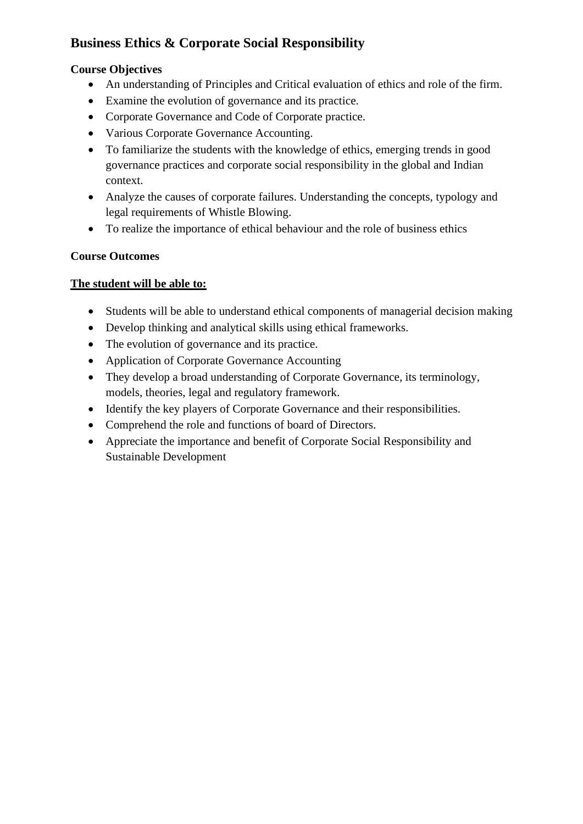## **Business Ethics & Corporate Social Responsibility**

#### **Course Objectives**

- An understanding of Principles and Critical evaluation of ethics and role of the firm.
- Examine the evolution of governance and its practice.
- Corporate Governance and Code of Corporate practice.
- Various Corporate Governance Accounting.
- To familiarize the students with the knowledge of ethics, emerging trends in good governance practices and corporate social responsibility in the global and Indian context.
- Analyze the causes of corporate failures. Understanding the concepts, typology and legal requirements of Whistle Blowing.
- To realize the importance of ethical behaviour and the role of business ethics

#### **Course Outcomes**

- Students will be able to understand ethical components of managerial decision making
- Develop thinking and analytical skills using ethical frameworks.
- The evolution of governance and its practice.
- Application of Corporate Governance Accounting
- They develop a broad understanding of Corporate Governance, its terminology, models, theories, legal and regulatory framework.
- Identify the key players of Corporate Governance and their responsibilities.
- Comprehend the role and functions of board of Directors.
- Appreciate the importance and benefit of Corporate Social Responsibility and Sustainable Development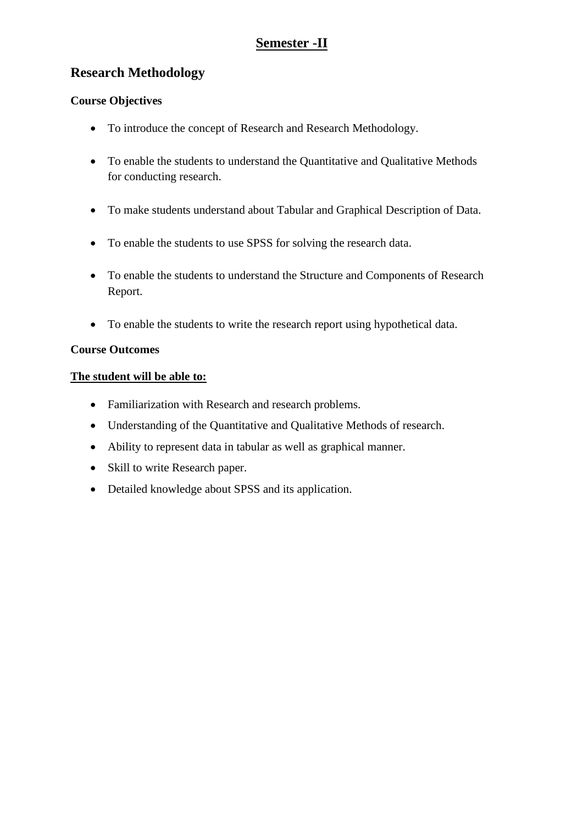### **Semester -II**

### **Research Methodology**

#### **Course Objectives**

- To introduce the concept of Research and Research Methodology.
- To enable the students to understand the Quantitative and Qualitative Methods for conducting research.
- To make students understand about Tabular and Graphical Description of Data.
- To enable the students to use SPSS for solving the research data.
- To enable the students to understand the Structure and Components of Research Report.
- To enable the students to write the research report using hypothetical data.

#### **Course Outcomes**

- Familiarization with Research and research problems.
- Understanding of the Quantitative and Qualitative Methods of research.
- Ability to represent data in tabular as well as graphical manner.
- Skill to write Research paper.
- Detailed knowledge about SPSS and its application.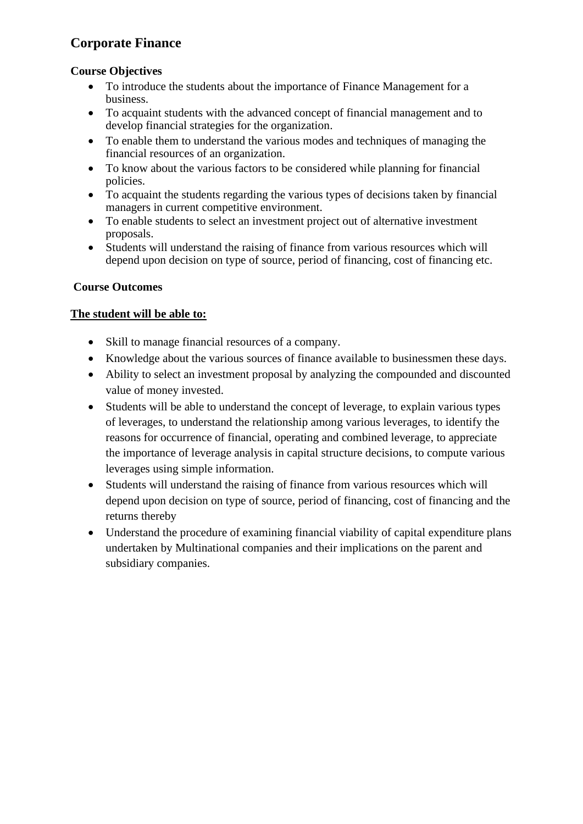## **Corporate Finance**

#### **Course Objectives**

- To introduce the students about the importance of Finance Management for a business.
- To acquaint students with the advanced concept of financial management and to develop financial strategies for the organization.
- To enable them to understand the various modes and techniques of managing the financial resources of an organization.
- To know about the various factors to be considered while planning for financial policies.
- To acquaint the students regarding the various types of decisions taken by financial managers in current competitive environment.
- To enable students to select an investment project out of alternative investment proposals.
- Students will understand the raising of finance from various resources which will depend upon decision on type of source, period of financing, cost of financing etc.

#### **Course Outcomes**

- Skill to manage financial resources of a company.
- Knowledge about the various sources of finance available to businessmen these days.
- Ability to select an investment proposal by analyzing the compounded and discounted value of money invested.
- Students will be able to understand the concept of leverage, to explain various types of leverages, to understand the relationship among various leverages, to identify the reasons for occurrence of financial, operating and combined leverage, to appreciate the importance of leverage analysis in capital structure decisions, to compute various leverages using simple information.
- Students will understand the raising of finance from various resources which will depend upon decision on type of source, period of financing, cost of financing and the returns thereby
- Understand the procedure of examining financial viability of capital expenditure plans undertaken by Multinational companies and their implications on the parent and subsidiary companies.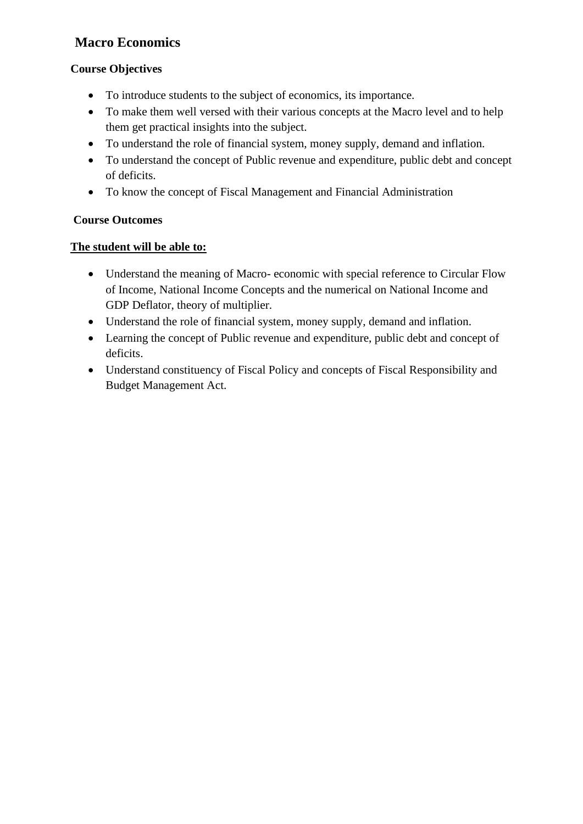## **Macro Economics**

### **Course Objectives**

- To introduce students to the subject of economics, its importance.
- To make them well versed with their various concepts at the Macro level and to help them get practical insights into the subject.
- To understand the role of financial system, money supply, demand and inflation.
- To understand the concept of Public revenue and expenditure, public debt and concept of deficits.
- To know the concept of Fiscal Management and Financial Administration

#### **Course Outcomes**

- Understand the meaning of Macro- economic with special reference to Circular Flow of Income, National Income Concepts and the numerical on National Income and GDP Deflator, theory of multiplier.
- Understand the role of financial system, money supply, demand and inflation.
- Learning the concept of Public revenue and expenditure, public debt and concept of deficits.
- Understand constituency of Fiscal Policy and concepts of Fiscal Responsibility and Budget Management Act.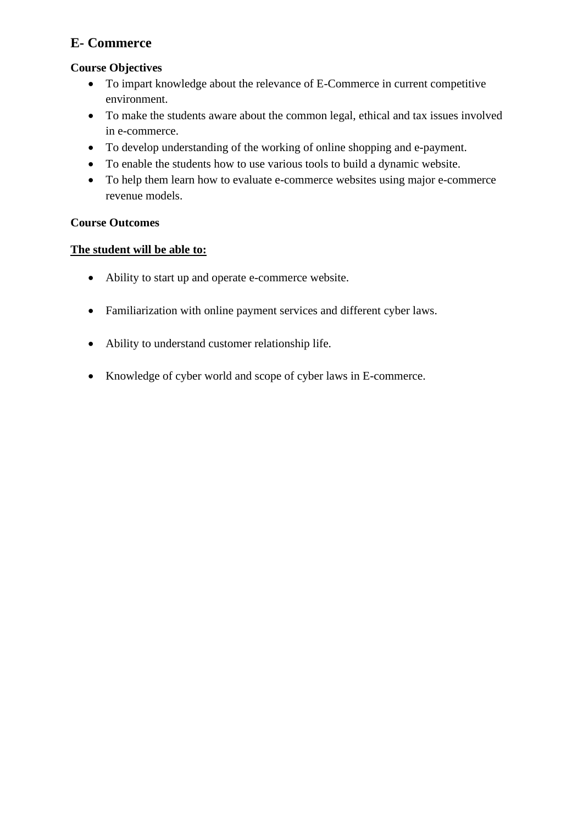### **E- Commerce**

#### **Course Objectives**

- To impart knowledge about the relevance of E-Commerce in current competitive environment.
- To make the students aware about the common legal, ethical and tax issues involved in e-commerce.
- To develop understanding of the working of online shopping and e-payment.
- To enable the students how to use various tools to build a dynamic website.
- To help them learn how to evaluate e-commerce websites using major e-commerce revenue models.

#### **Course Outcomes**

- Ability to start up and operate e-commerce website.
- Familiarization with online payment services and different cyber laws.
- Ability to understand customer relationship life.
- Knowledge of cyber world and scope of cyber laws in E-commerce.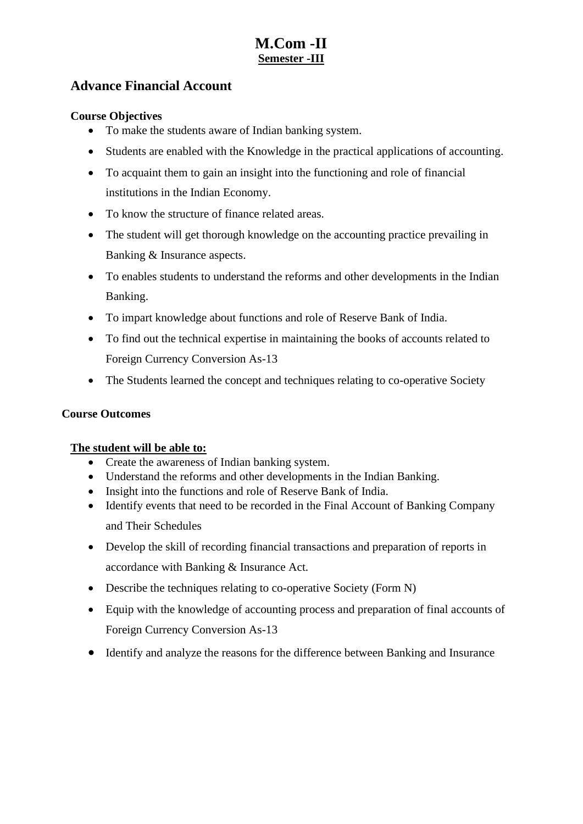## **M.Com -II Semester -III**

### **Advance Financial Account**

#### **Course Objectives**

- To make the students aware of Indian banking system.
- Students are enabled with the Knowledge in the practical applications of accounting.
- To acquaint them to gain an insight into the functioning and role of financial institutions in the Indian Economy.
- To know the structure of finance related areas.
- The student will get thorough knowledge on the accounting practice prevailing in Banking & Insurance aspects.
- To enables students to understand the reforms and other developments in the Indian Banking.
- To impart knowledge about functions and role of Reserve Bank of India.
- To find out the technical expertise in maintaining the books of accounts related to Foreign Currency Conversion As-13
- The Students learned the concept and techniques relating to co-operative Society

#### **Course Outcomes**

- Create the awareness of Indian banking system.
- Understand the reforms and other developments in the Indian Banking.
- Insight into the functions and role of Reserve Bank of India.
- Identify events that need to be recorded in the Final Account of Banking Company and Their Schedules
- Develop the skill of recording financial transactions and preparation of reports in accordance with Banking & Insurance Act.
- Describe the techniques relating to co-operative Society (Form N)
- Equip with the knowledge of accounting process and preparation of final accounts of Foreign Currency Conversion As-13
- Identify and analyze the reasons for the difference between Banking and Insurance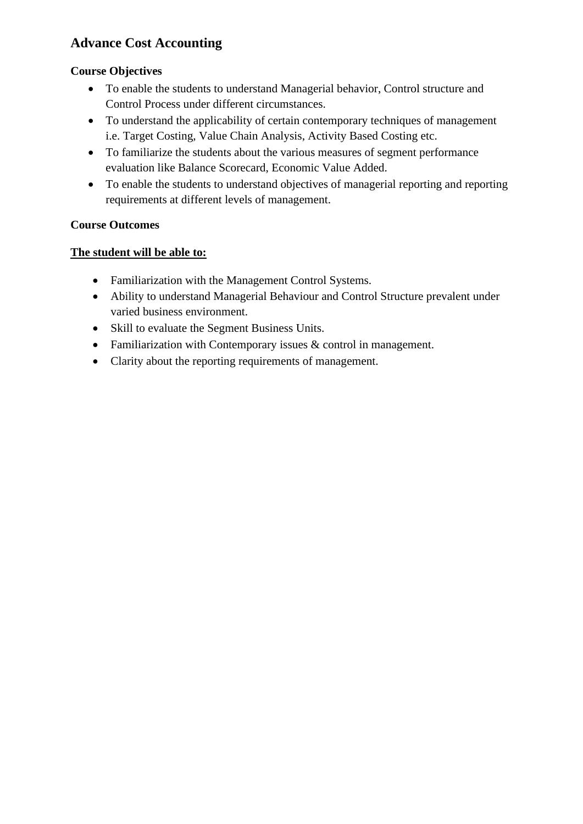## **Advance Cost Accounting**

#### **Course Objectives**

- To enable the students to understand Managerial behavior, Control structure and Control Process under different circumstances.
- To understand the applicability of certain contemporary techniques of management i.e. Target Costing, Value Chain Analysis, Activity Based Costing etc.
- To familiarize the students about the various measures of segment performance evaluation like Balance Scorecard, Economic Value Added.
- To enable the students to understand objectives of managerial reporting and reporting requirements at different levels of management.

#### **Course Outcomes**

- Familiarization with the Management Control Systems.
- Ability to understand Managerial Behaviour and Control Structure prevalent under varied business environment.
- Skill to evaluate the Segment Business Units.
- Familiarization with Contemporary issues & control in management.
- Clarity about the reporting requirements of management.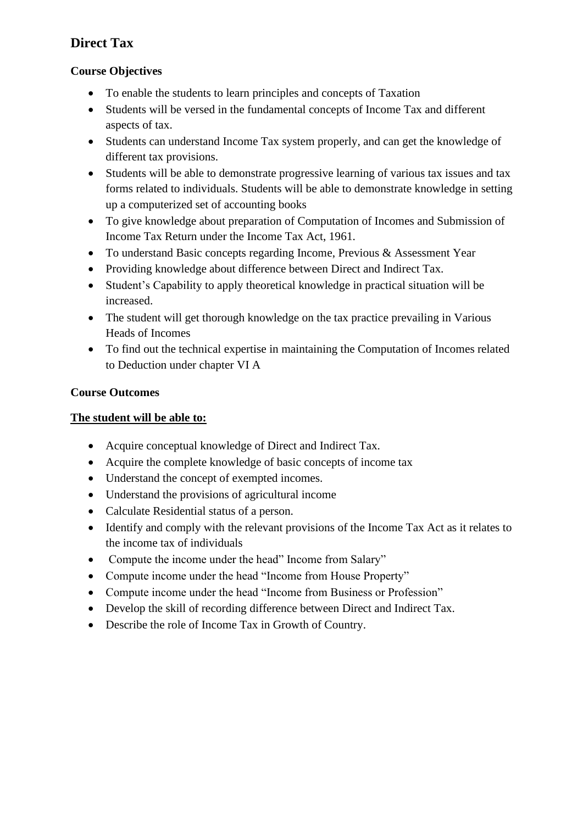## **Direct Tax**

#### **Course Objectives**

- To enable the students to learn principles and concepts of Taxation
- Students will be versed in the fundamental concepts of Income Tax and different aspects of tax.
- Students can understand Income Tax system properly, and can get the knowledge of different tax provisions.
- Students will be able to demonstrate progressive learning of various tax issues and tax forms related to individuals. Students will be able to demonstrate knowledge in setting up a computerized set of accounting books
- To give knowledge about preparation of Computation of Incomes and Submission of Income Tax Return under the Income Tax Act, 1961.
- To understand Basic concepts regarding Income, Previous & Assessment Year
- Providing knowledge about difference between Direct and Indirect Tax.
- Student's Capability to apply theoretical knowledge in practical situation will be increased.
- The student will get thorough knowledge on the tax practice prevailing in Various Heads of Incomes
- To find out the technical expertise in maintaining the Computation of Incomes related to Deduction under chapter VI A

#### **Course Outcomes**

- Acquire conceptual knowledge of Direct and Indirect Tax.
- Acquire the complete knowledge of basic concepts of income tax
- Understand the concept of exempted incomes.
- Understand the provisions of agricultural income
- Calculate Residential status of a person.
- Identify and comply with the relevant provisions of the Income Tax Act as it relates to the income tax of individuals
- Compute the income under the head" Income from Salary"
- Compute income under the head "Income from House Property"
- Compute income under the head "Income from Business or Profession"
- Develop the skill of recording difference between Direct and Indirect Tax.
- Describe the role of Income Tax in Growth of Country.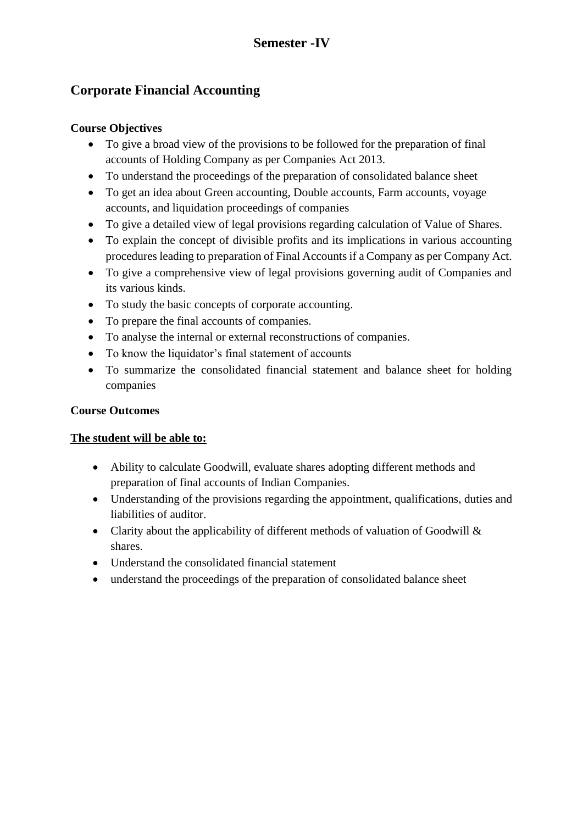## **Corporate Financial Accounting**

#### **Course Objectives**

- To give a broad view of the provisions to be followed for the preparation of final accounts of Holding Company as per Companies Act 2013.
- To understand the proceedings of the preparation of consolidated balance sheet
- To get an idea about Green accounting, Double accounts, Farm accounts, voyage accounts, and liquidation proceedings of companies
- To give a detailed view of legal provisions regarding calculation of Value of Shares.
- To explain the concept of divisible profits and its implications in various accounting procedures leading to preparation of Final Accounts if a Company as per Company Act.
- To give a comprehensive view of legal provisions governing audit of Companies and its various kinds.
- To study the basic concepts of corporate accounting.
- To prepare the final accounts of companies.
- To analyse the internal or external reconstructions of companies.
- To know the liquidator's final statement of accounts
- To summarize the consolidated financial statement and balance sheet for holding companies

#### **Course Outcomes**

- Ability to calculate Goodwill, evaluate shares adopting different methods and preparation of final accounts of Indian Companies.
- Understanding of the provisions regarding the appointment, qualifications, duties and liabilities of auditor.
- Clarity about the applicability of different methods of valuation of Goodwill & shares.
- Understand the consolidated financial statement
- understand the proceedings of the preparation of consolidated balance sheet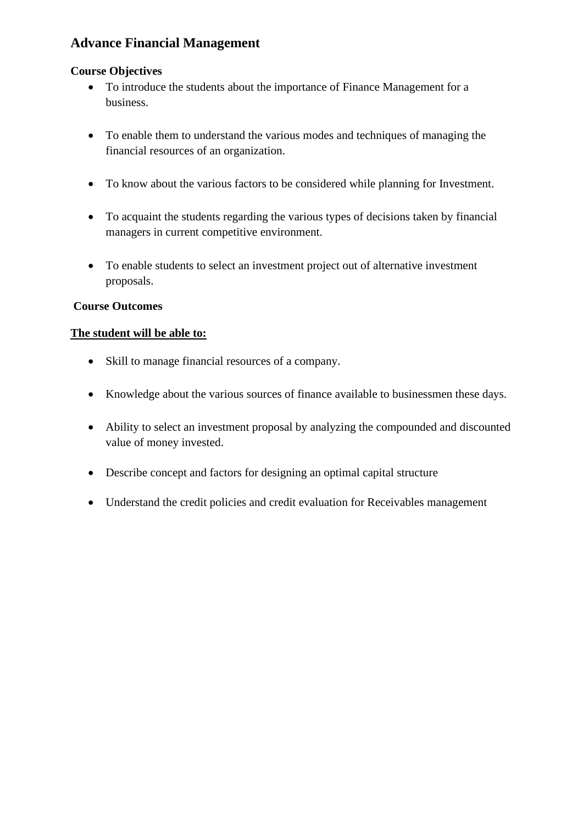### **Advance Financial Management**

#### **Course Objectives**

- To introduce the students about the importance of Finance Management for a business.
- To enable them to understand the various modes and techniques of managing the financial resources of an organization.
- To know about the various factors to be considered while planning for Investment.
- To acquaint the students regarding the various types of decisions taken by financial managers in current competitive environment.
- To enable students to select an investment project out of alternative investment proposals.

#### **Course Outcomes**

- Skill to manage financial resources of a company.
- Knowledge about the various sources of finance available to businessmen these days.
- Ability to select an investment proposal by analyzing the compounded and discounted value of money invested.
- Describe concept and factors for designing an optimal capital structure
- Understand the credit policies and credit evaluation for Receivables management